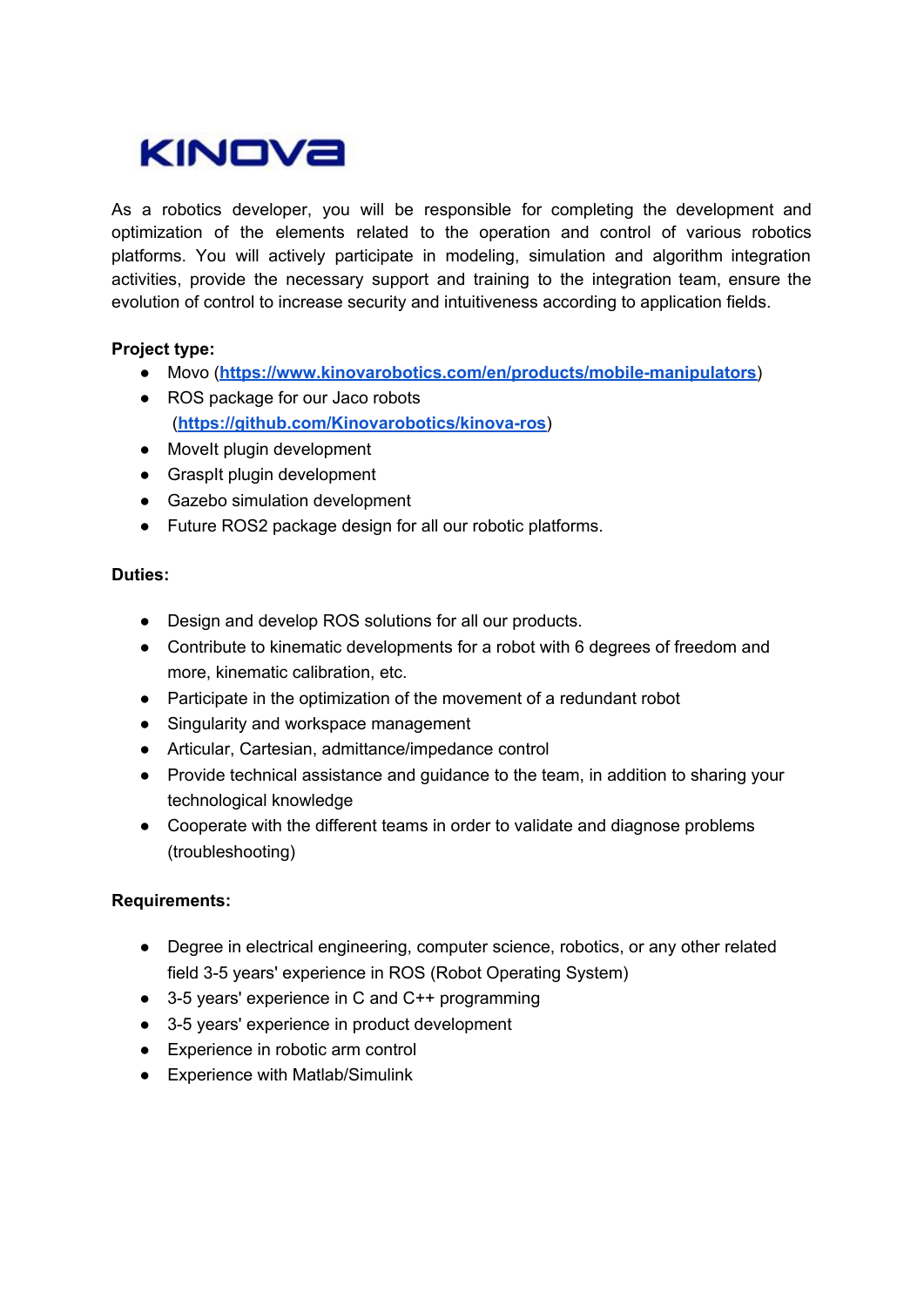# KINOVA

As a robotics developer, you will be responsible for completing the development and optimization of the elements related to the operation and control of various robotics platforms. You will actively participate in modeling, simulation and algorithm integration activities, provide the necessary support and training to the integration team, ensure the evolution of control to increase security and intuitiveness according to application fields.

## **Project type:**

- Movo (**<https://www.kinovarobotics.com/en/products/mobile-manipulators>**)
- ROS package for our Jaco robots (**<https://github.com/Kinovarobotics/kinova-ros>**)
- Movelt plugin development
- GraspIt plugin development
- Gazebo simulation development
- Future ROS2 package design for all our robotic platforms.

#### **Duties:**

- Design and develop ROS solutions for all our products.
- Contribute to kinematic developments for a robot with 6 degrees of freedom and more, kinematic calibration, etc.
- Participate in the optimization of the movement of a redundant robot
- Singularity and workspace management
- Articular, Cartesian, admittance/impedance control
- Provide technical assistance and guidance to the team, in addition to sharing your technological knowledge
- Cooperate with the different teams in order to validate and diagnose problems (troubleshooting)

## **Requirements:**

- Degree in electrical engineering, computer science, robotics, or any other related field 3-5 years' experience in ROS (Robot Operating System)
- 3-5 years' experience in C and C++ programming
- 3-5 years' experience in product development
- Experience in robotic arm control
- Experience with Matlab/Simulink